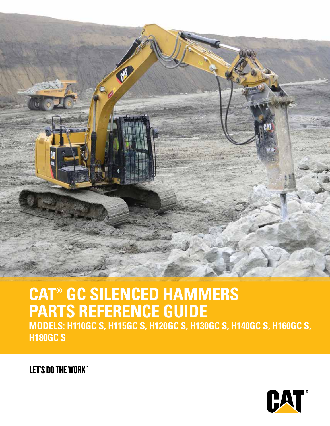

### **CAT® GC SILENCED HAMMERS PARTS REFERENCE GUIDE**

**MODELS: H110GC S, H115GC S, H120GC S, H130GC S, H140GC S, H160GC S, H180GC S**

**LET'S DO THE WORK"** 

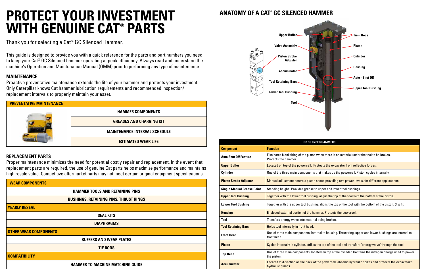| <b>PREVENTATIVE MAINTENANCE</b> |                                      |
|---------------------------------|--------------------------------------|
|                                 | <b>HAMMER COMPONENTS</b>             |
|                                 | <b>GREASES AND CHARGING KIT</b>      |
|                                 | <b>MAINTENANCE INTERVAL SCHEDULE</b> |
|                                 | <b>ESTIMATED WEAR LIFE</b>           |

This guide is designed to provide you with a quick reference for the parts and part numbers you need to keep your Cat® GC Silenced hammer operating at peak efficiency. Always read and understand the machine's Operation and Maintenance Manual (OMM) prior to performing any type of maintenance.

### **MAINTENANCE**

Proactive preventative maintenance extends the life of your hammer and protects your investment. Only Caterpillar knows Cat hammer lubrication requirements and recommended inspection/ replacement intervals to properly maintain your asset.

### **REPLACEMENT PARTS**

Proper maintenance minimizes the need for potential costly repair and replacement. In the event that replacement parts are required, the use of genuine Cat parts helps maximize performance and maintains high resale value. Competitive aftermarket parts may not meet certain original equipment specifications.

### Thank you for selecting a Cat® GC Silenced Hammer.

## **PROTECT YOUR INVESTMENT WITH GENUINE CAT® PARTS**

| <b>WEAR COMPONENTS</b>                        |
|-----------------------------------------------|
| <b>HAMMER TOOLS AND RETAINING PINS</b>        |
| <b>BUSHINGS, RETAINING PINS, THRUST RINGS</b> |
| <b>YEARLY RESEAL</b>                          |
| <b>SEAL KITS</b>                              |
| <b>DIAPHRAGMS</b>                             |
| <b>OTHER WEAR COMPONENTS</b>                  |
| <b>BUFFERS AND WEAR PLATES</b>                |
| <b>TIE RODS</b>                               |
| <b>COMPATIBILITY</b>                          |
| <b>HAMMER TO MACHINE MATCHING GUIDE</b>       |

# **ANATOMY OF A CAT® GC SILENCED HAMMER**

| <b>GC SILEI</b>                                              |
|--------------------------------------------------------------|
| <b>Function</b>                                              |
| Eliminates blank firing of the pisto<br>Protects the hammer. |
| Located on top of the powercell. I                           |
| One of the three main components                             |
| Manual adjustment controls pistor                            |
| Standing height. Provides grease                             |
| Together with the lower tool bushi                           |
| Together with the upper tool bushi                           |
| Enclosed external portion of the ha                          |
| Transfers energy wave into materi                            |
| Holds tool internally in front head.                         |
| One of three main components, in<br>front head.              |
| Cycles internally in cylinder, strike                        |
| One of three main components, lo<br>the piston.              |
| Located mid-section on the back o<br>hydraulic pumps.        |
|                                                              |

### **CED HAMMERS**

**Auto Shawt Teature is alsetted in the fool to be broken.** When there is no material under the tool to be broken.

Protects the excavator from reflective forces.

**S** that makes up the powercell. Piston cycles internally.

**Physion Stroke and and an independie in Stroke and providing providing two speed providing two power application** 

to upper and lower tool bushings.

ing, aligns the top of the tool with the bottom of the piston.

ling, aligns the top of the tool with the bottom of the piston. Slip fit.

**Housing** Enclosed external powercell.

**Tial being broken.** 

**Fromal to housing. Thrust ring, upper and lower bushings are internal to housing.** 

Pis the top of the tool and transfers "energy wave" through the tool.

**Theada** On top of the cylinder. Contains the nitrogen charge used to power

of the powercell, absorbs hydraulic spikes and protects the excavator's

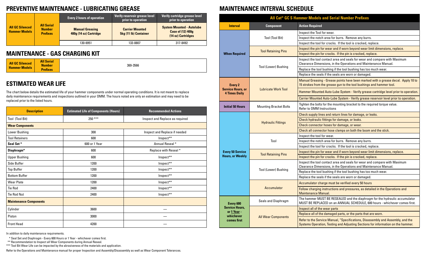### **MAINTENANCE - GAS CHARGING KIT**

### **ESTIMATED WEAR LIFE**

### **PREVENTIVE MAINTENANCE - LUBRICATING GREASE MAINTENANCE INTERVAL SCHEDULE**

|                                                | <b>All Serial</b><br><b>Number</b><br><b>Prefixes</b> | <b>Every 2 hours of operation</b>                |                                                        | Verify reservoir grease level<br>prior to operation                                | Verify cartridge grease level<br>prior to operation |
|------------------------------------------------|-------------------------------------------------------|--------------------------------------------------|--------------------------------------------------------|------------------------------------------------------------------------------------|-----------------------------------------------------|
| <b>All GC Silenced</b><br><b>Hammer Models</b> |                                                       | <b>Manual Greasing</b><br>400g (14 oz) Cartridge | <b>Carrier Mounted</b><br><b>5kg (11 lb) Container</b> | <b>System Mounted - Autolube</b><br><b>Case of (12) 400g</b><br>(14 oz) Cartridges |                                                     |
|                                                |                                                       | 130-6951                                         | 133-8807                                               | 317-8492                                                                           |                                                     |

|                                                | <b>All Serial</b> |
|------------------------------------------------|-------------------|
| <b>All GC Silenced</b><br><b>Hammer Models</b> | <b>Number</b>     |
|                                                | <b>Prefixes</b>   |

369-3566

| <b>Description</b>            | <b>Estimated Life of Components (Hours)</b> | <b>Recommended Actions</b>      |
|-------------------------------|---------------------------------------------|---------------------------------|
| Tool (Tool Bit)               | 250 ***                                     | Inspect and Replace as required |
| <b>Wear Components</b>        |                                             |                                 |
| Lower Bushing                 | 300                                         | Inspect and Replace if needed   |
| <b>Tool Retainers</b>         | 600                                         | Inspect**                       |
| Seal Set*                     | 600 or 1 Year                               | Annual Reseal *                 |
| Diaphragm*                    | 600                                         | Replace with Reseal *           |
| <b>Upper Bushing</b>          | 600                                         | Inspect**                       |
| Side Buffer                   | 1200                                        | Inspect**                       |
| <b>Top Buffer</b>             | 1200<br>Inspect**                           |                                 |
| <b>Bottom Buffer</b>          | 1200                                        | Inspect**                       |
| <b>Wear Plate</b>             | 1200                                        | Inspect**                       |
| <b>Tie Rod</b>                | 2400                                        | Inspect**                       |
| Tie Rod Nut                   | 2400                                        | Inspect**                       |
| <b>Maintenance Components</b> |                                             |                                 |
| Cylinder                      | 3600                                        |                                 |
| Piston                        | 3000                                        |                                 |
| <b>Front Head</b>             | 4200                                        |                                 |

|                                                                    | <b>All Cat<sup>®</sup> GC S Hammer Models</b> |                                                    |
|--------------------------------------------------------------------|-----------------------------------------------|----------------------------------------------------|
| <b>Interval</b>                                                    | <b>Component</b>                              | <b>Action Required</b>                             |
|                                                                    |                                               | Inspect the Tool                                   |
|                                                                    | Tool (Tool Bit)                               | Inspect the notc                                   |
|                                                                    |                                               | Inspect the tool                                   |
|                                                                    | <b>Tool Retaining Pins</b>                    | Inspect the pin f                                  |
| <b>When Required</b>                                               |                                               | Inspect the pin f                                  |
|                                                                    |                                               | Inspect the tool<br><b>Clearance Dimer</b>         |
|                                                                    | <b>Tool (Lower) Bushing</b>                   | Replace the tool                                   |
|                                                                    |                                               | Replace the sea                                    |
| <b>Every 2</b><br><b>Service Hours, or</b><br><b>4 Times Daily</b> |                                               | <b>Manual Greasing</b><br>15 strokes from t        |
|                                                                    | <b>Lubricate Work Tool</b>                    | <b>Hammer Mounte</b>                               |
|                                                                    |                                               | <b>Carrier Mounted</b>                             |
| <b>Initial 50 Hours</b>                                            | <b>Mounting Bracket Bolts</b>                 | Tighten the bolts<br>Refer to OMM In               |
|                                                                    |                                               | <b>Check supply lin</b>                            |
|                                                                    |                                               | <b>Check hydraulic</b>                             |
|                                                                    | <b>Hydraulic Fittings</b>                     | <b>Check connecto</b>                              |
|                                                                    |                                               | Check all conner                                   |
|                                                                    |                                               | Inspect the tool                                   |
|                                                                    | Tool                                          | Inspect the notc                                   |
|                                                                    |                                               | Inspect the tool                                   |
| <b>Every 50 Service</b>                                            | <b>Tool Retaining Pins</b>                    | Inspect the pin f                                  |
| <b>Hours, or Weekly</b>                                            |                                               | Inspect the pin f                                  |
|                                                                    | <b>Tool (Lower) Bushing</b>                   | Inspect the tool<br>Clearance Dimer                |
|                                                                    |                                               | Replace the tool                                   |
|                                                                    |                                               | Replace the sea                                    |
|                                                                    |                                               | <b>Accumulator cha</b>                             |
|                                                                    | <b>Accumulator</b>                            | <b>Follow charging</b><br>Maintenance Ma           |
| Every 600                                                          | Seals and Diaphragm                           | The hammer MU<br>MUST BE REPLA                     |
| <b>Service Hours,</b>                                              |                                               | Inspect all of the                                 |
| or 1 Year -<br>whichever                                           |                                               | Replace all of the                                 |
| comes first                                                        | <b>All Wear Components</b>                    | <b>Refer to the Serv</b><br><b>Systems Operati</b> |

The chart below details the estimated life of your hammer components under normal operating conditions. It is not meant to replace daily maintenance requirements and inspections outlined in your OMM. The hours noted are only an estimation and may need to be replaced prior to the listed hours.

In addition to daily maintenance requirements.

\* Seal Set and Diaphragm - Every 600 Hours or 1 Year - whichever comes first.

\*\* Recommendation to Inspect all Wear Components during Annual Reseal.

\*\*\* Tool Bit Wear Life can be impacted by the abrasiveness of the materials and application.

Refer to the Operations and Maintenance manual for proper Inspection and Assembly/Disassembly as well as Wear Component Tolerances.

### **Adels and Serial Number Prefixes**

Ie Tool for wear.

ne notch area for burrs. Remove any burrs.

ie tool for cracks. If the tool is cracked, replace.

ne pin for wear and if worn beyond wear limit dimensions, replace.

ie pin for cracks. If the pin is cracked, replace.

ie tool contact area and seals for wear and compare with Maximum Dimensions, in the Operations and Maintenance Manual.

he tool bushing if the tool bushing has too much wear.

he seals if the seals are worn or damaged.

reasing - Grease points have been marked with a grease decal. Apply 10 to from the grease gun to the tool bushings and hammer tool.

Mounted Auto-Lube System - Verify grease cartridge level prior to operation.

lounted Auto-Lube System - Verify grease reservoir level prior to operation.

**Ingith 50 bolts for the mounting bracket to the required torque value. MM** Instructions

pply lines and return lines for damage, or leaks.

Iraulic fittings for damage, or leaks.

nnector hoses for damage, or wear.

connector hose clamps on both the boom and the stick.

ne tool for wear.

1e notch area for burrs. Remove any burrs.

ie tool for cracks. If the tool is cracked, replace.

 $\overline{\text{}}$  pin for wear and if worn beyond wear limit dimensions, replace.

1e pin for cracks. If the pin is cracked, replace.

Inspect tool contact area and seals for wear and compare with Maximum Dimensions, in the Operations and Maintenance Manual.

he tool bushing if the tool bushing has too much wear.

he seals if the seals are worn or damaged.

ator charge must be verified every 50 hours

arging instructions and pressures, as detailed in the Operations and nce Manual.

ner MUST BE RESEALED and the diaphragm for the hydraulic accumulator REPLACED on an ANNUAL SCHEDULE, 600 hours - whichever comes first.

I of the wear parts

all of the damaged parts, or the parts that are worn.

ne Service Manual, "Specifications, Disassembly and Assembly, and the Operation, Testing and Adjusting Sections for information on the hammer.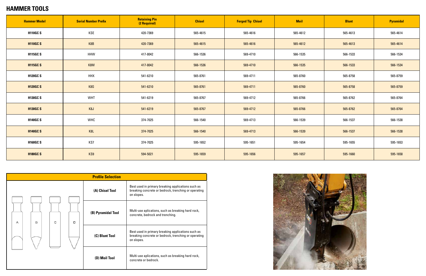### **HAMMER TOOLS**

| <b>Hammer Model</b> | <b>Serial Number Prefix</b> | <b>Retaining Pin</b><br>(2 Required) | <b>Chisel</b> | <b>Forged Tip Chisel</b> | <b>Moil</b> | <b>Blunt</b> | <b>Pyramidal</b> |
|---------------------|-----------------------------|--------------------------------------|---------------|--------------------------|-------------|--------------|------------------|
| <b>H110GCS</b>      | KSE                         | 420-7369                             | 565-4615      | 565-4616                 | 565-4612    | 565-4613     | 565-4614         |
| <b>H110GCS</b>      | K8B                         | 420-7369                             | 565-4615      | 565-4616                 | 565-4612    | 565-4613     | 565-4614         |
| <b>H115GC S</b>     | HHW                         | 417-8042                             | 566-1536      | 569-4710                 | 566-1535    | 566-1533     | 566-1534         |
| <b>H115GC S</b>     | K8M                         | 417-8042                             | 566-1536      | 569-4710                 | 566-1535    | 566-1533     | 566-1534         |
| <b>H120GCS</b>      | <b>HHX</b>                  | 541-6210                             | 565-8761      | 569-4711                 | 565-8760    | 565-8758     | 565-8759         |
| <b>H120GCS</b>      | K8G                         | 541-6210                             | 565-8761      | 569-4711                 | 565-8760    | 565-8758     | 565-8759         |
| <b>H130GC S</b>     | <b>WHT</b>                  | 541-6219                             | 565-8767      | 569-4712                 | 565-8766    | 565-8762     | 565-8764         |
| <b>H130GC S</b>     | K8J                         | 541-6219                             | 565-8767      | 569-4712                 | 565-8766    | 565-8762     | 565-8764         |
| <b>H140GCS</b>      | WHC                         | 374-7025                             | 566-1540      | 569-4713                 | 566-1539    | 566-1537     | 566-1538         |
| <b>H140GCS</b>      | K <sub>8</sub> L            | 374-7025                             | 566-1540      | 569-4713                 | 566-1539    | 566-1537     | 566-1538         |
| <b>H160GCS</b>      | KS7                         | 374-7025                             | 595-1652      | 595-1651                 | 595-1654    | 595-1655     | 595-1653         |
| <b>H180GCS</b>      | KS9                         | 594-5021                             | 595-1659      | 595-1656                 | 595-1657    | 595-1660     | 595-1658         |

| <b>Profile Selection</b> |   |   |                |                                                                                                                          |                                                                                                                          |  |  |
|--------------------------|---|---|----------------|--------------------------------------------------------------------------------------------------------------------------|--------------------------------------------------------------------------------------------------------------------------|--|--|
|                          |   |   |                | (A) Chisel Tool                                                                                                          | Best used in primary breaking applications such as<br>breaking concrete or bedrock, trenching or operating<br>on slopes. |  |  |
| А                        | B | с | D              | (B) Pyramidal Tool                                                                                                       | Multi-use aplications, such as breaking hard rock,<br>concrete, bedrock and trenching.                                   |  |  |
|                          |   |   | (C) Blunt Tool | Best used in primary breaking applications such as<br>breaking concrete or bedrock, trenching or operating<br>on slopes. |                                                                                                                          |  |  |
|                          |   |   |                | (D) Moil Tool                                                                                                            | Multi-use aplications, such as breaking hard rock,<br>concrete or bedrock.                                               |  |  |

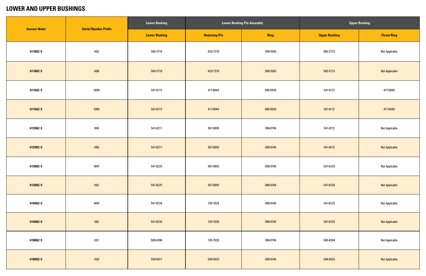### **LOWER AND UPPER BUSHINGS**

|                     | <b>Serial Number Prefix</b> | <b>Lower Bushing</b> |                      | <b>Lower Bushing Pin Assembly</b> | <b>Upper Bushing</b> |                       |  |
|---------------------|-----------------------------|----------------------|----------------------|-----------------------------------|----------------------|-----------------------|--|
| <b>Hammer Model</b> |                             | <b>Lower Bushing</b> | <b>Retaining Pin</b> | Ring                              | <b>Upper Bushing</b> | <b>Thrust Ring</b>    |  |
| <b>H110GC S</b>     | KSE                         | 565-3719             | 420-7370             | 369-3563                          | 565-3723             | <b>Not Applicable</b> |  |
| <b>H110GC S</b>     | K8B                         | 565-3719             | 420-7370             | 369-3563                          | 565-3723             | <b>Not Applicable</b> |  |
| <b>H115GC S</b>     | <b>HHW</b>                  | 541-6173             | 417-8044             | 095-0934                          | 541-6172             | 417-8040              |  |
| <b>H115GC S</b>     | K8M                         | 541-6173             | 417-8044             | 095-0934                          | 541-6172             | 417-8040              |  |
| <b>H120GCS</b>      | <b>HHX</b>                  | 541-6211             | 367-0893             | 096-0194                          | 541-6212             | <b>Not Applicable</b> |  |
| <b>H120GC S</b>     | K8G                         | 541-6211             | 367-0893             | 096-0194                          | 541-6212             | <b>Not Applicable</b> |  |
| <b>H130GC S</b>     | <b>WHT</b>                  | 541-6225             | 367-0893             | 096-0194                          | 541-6220             | <b>Not Applicable</b> |  |
| <b>H130GC S</b>     | K8J                         | 541-6225             | 367-0893             | 096-0194                          | 541-6220             | <b>Not Applicable</b> |  |
| <b>H140GCS</b>      | <b>WHC</b>                  | 541-6234             | 374-7028             | 096-0194                          | 541-6233             | <b>Not Applicable</b> |  |
| <b>H140GC S</b>     | K8L                         | 541-6234             | 374-7028             | 096-0194                          | 541-6233             | <b>Not Applicable</b> |  |
| <b>H160GCS</b>      | KS7                         | 580-4396             | 374-7028             | 096-0194                          | 580-4394             | <b>Not Applicable</b> |  |
| <b>H180GC S</b>     | KS9                         | 594-5011             | 594-5023             | 096-0194                          | 594-5025             | <b>Not Applicable</b> |  |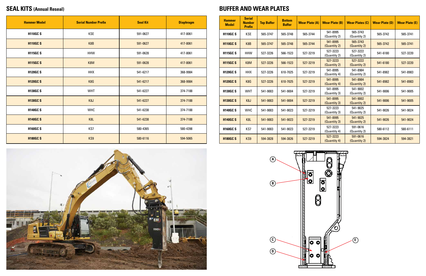

| <b>Hammer Model</b> | <b>Serial Number Prefix</b> | <b>Seal Kit</b> | <b>Diaphragm</b> |
|---------------------|-----------------------------|-----------------|------------------|
| <b>H110GCS</b>      | <b>KSE</b>                  | 591-0627        | 417-8061         |
| <b>H110GCS</b>      | K8B                         | 591-0627        | 417-8061         |
| <b>H115GCS</b>      | <b>HHW</b>                  | 591-0628        | 417-8061         |
| <b>H115GC S</b>     | K8M                         | 591-0628        | 417-8061         |
| <b>H120GCS</b>      | <b>HHX</b>                  | 541-6217        | 368-9984         |
| <b>H120GC S</b>     | K8G                         | 541-6217        | 368-9984         |
| <b>H130GC S</b>     | WHT                         | 541-6227        | 374-7188         |
| <b>H130GC S</b>     | K <sub>8</sub> J            | 541-6227        | 374-7188         |
| <b>H140GCS</b>      | <b>WHC</b>                  | 541-6238        | 374-7188         |
| <b>H140GCS</b>      | K <sub>8</sub> L            | 541-6238        | 374-7188         |
| <b>H160GCS</b>      | KS7                         | 580-4365        | 580-4398         |
| <b>H180GC S</b>     | KS9                         | 580-6116        | 594-5065         |

| <b>Hammer</b><br><b>Model</b> | <b>Serial</b><br><b>Number</b><br><b>Prefix</b> | <b>Top Buffer</b> | <b>Bottom</b><br><b>Buffer</b> | <b>Wear Plate (A)</b> | <b>Wear Plate (B)</b>    | <b>Wear Plates (C)</b>   | <b>Wear Plate (D)</b> | <b>Wear Plate (E)</b> |
|-------------------------------|-------------------------------------------------|-------------------|--------------------------------|-----------------------|--------------------------|--------------------------|-----------------------|-----------------------|
| <b>H110GCS</b>                | <b>KSE</b>                                      | 565-3747          | 565-3748                       | 565-3744              | 541-8995<br>(Quantity 2) | 565-3743<br>(Quantity 2) | 565-3742              | 565-3741              |
| <b>H110GCS</b>                | K8B                                             | 565-3747          | 565-3748                       | 565-3744              | 541-8995<br>(Quantity 2) | 565-3743<br>(Quantity 2) | 565-3742              | 565-3741              |
| <b>H115GC S</b>               | <b>HHW</b>                                      | 527-3226          | 566-1523                       | 527-3219              | 527-3223<br>(Quantity 2) | 527-3222<br>(Quantity 2) | 541-6180              | 527-3220              |
| <b>H115GC S</b>               | K8M                                             | 527-3226          | 566-1523                       | 527-3219              | 527-3223<br>(Quantity 2) | 527-3222<br>(Quantity 2) | 541-6180              | 527-3220              |
| <b>H120GCS</b>                | <b>HHX</b>                                      | 527-3226          | 610-7025                       | 527-3219              | 541-8995<br>(Quantity 4) | 541-8984<br>(Quantity 2) | 541-8982              | 541-8983              |
| <b>H120GC S</b>               | K8G                                             | 527-3226          | 610-7025                       | 527-3219              | 541-8995<br>(Quantity 4) | 541-8984<br>(Quantity 2) | 541-8982              | 541-8983              |
| <b>H130GC S</b>               | <b>WHT</b>                                      | 541-9003          | 541-9004                       | 527-3219              | 541-8995<br>(Quantity 3) | 541-9002<br>(Quantity 2) | 541-9006              | 541-9005              |
| <b>H130GC S</b>               | K <sub>8</sub> J                                | 541-9003          | 541-9004                       | 527-3219              | 541-8995<br>(Quantity 3) | 541-9002<br>(Quantity 2) | 541-9006              | 541-9005              |
| <b>H140GCS</b>                | <b>WHC</b>                                      | 541-9003          | 541-9023                       | 527-3219              | 527-3223<br>(Quantity 3) | 541-9025<br>(Quantity 2) | 541-9026              | 541-9024              |
| <b>H140GC S</b>               | K <sub>8</sub> L                                | 541-9003          | 541-9023                       | 527-3219              | 541-8995<br>(Quantity 3) | 541-9025<br>(Quantity 2) | 541-9026              | 541-9024              |
| <b>H160GCS</b>                | KS7                                             | 541-9003          | 541-9023                       | 527-3219              | 527-3223<br>(Quantity 4) | 591-0616<br>(Quantity 2) | 580-6112              | 580-6111              |
| <b>H180GCS</b>                | KS9                                             | 594-3828          | 594-3826                       | 527-3219              | 527-3223<br>(Quantity 4) | 591-0616<br>(Quantity 2) | 594-3824              | 594-3821              |



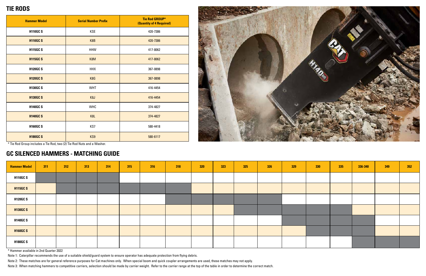### **TIE RODS**

### **GC SILENCED HAMMERS - MATCHING GUIDE**

| <b>Hammer Model</b> | <b>Serial Number Prefix</b> | Tie Rod GROUP*<br><b>(Quantity of 4 Required)</b> |  |  |  |  |  |
|---------------------|-----------------------------|---------------------------------------------------|--|--|--|--|--|
| <b>H110GCS</b>      | <b>KSE</b>                  | 420-7386                                          |  |  |  |  |  |
| <b>H110GCS</b>      | K8B                         | 420-7386                                          |  |  |  |  |  |
| <b>H115GCS</b>      | <b>HHW</b>                  | 417-8062                                          |  |  |  |  |  |
| <b>H115GC S</b>     | K8M                         | 417-8062                                          |  |  |  |  |  |
| <b>H120GCS</b>      | <b>HHX</b>                  | 367-0898                                          |  |  |  |  |  |
| <b>H120GCS</b>      | K8G                         | 367-0898                                          |  |  |  |  |  |
| <b>H130GC S</b>     | <b>WHT</b>                  | 416-4454                                          |  |  |  |  |  |
| <b>H130GC S</b>     | K <sub>8</sub> J            | 416-4454                                          |  |  |  |  |  |
| <b>H140GCS</b>      | <b>WHC</b>                  | 374-4827                                          |  |  |  |  |  |
| <b>H140GCS</b>      | K <sub>8</sub> L            | 374-4827                                          |  |  |  |  |  |
| <b>H160GCS</b>      | KS7                         | 580-4418                                          |  |  |  |  |  |
| <b>H180GC S</b>     | KS9                         | 580-6117                                          |  |  |  |  |  |



\* Tie Rod Group includes a Tie Rod, two (2) Tie Rod Nuts and a Washer.

| <b>Hammer Model</b> | 311 | 312 | 313 | 314 | 315 | 316 | 318 | 320 | 323 | 325 | 326 | 329 | 330 | 335 | 336-340 | 349 | 352 |
|---------------------|-----|-----|-----|-----|-----|-----|-----|-----|-----|-----|-----|-----|-----|-----|---------|-----|-----|
| <b>H110GCS</b>      |     |     |     |     |     |     |     |     |     |     |     |     |     |     |         |     |     |
| <b>H115GC S</b>     |     |     |     |     |     |     |     |     |     |     |     |     |     |     |         |     |     |
| <b>H120GCS</b>      |     |     |     |     |     |     |     |     |     |     |     |     |     |     |         |     |     |
| <b>H130GC S</b>     |     |     |     |     |     |     |     |     |     |     |     |     |     |     |         |     |     |
| <b>H140GCS</b>      |     |     |     |     |     |     |     |     |     |     |     |     |     |     |         |     |     |
| <b>H160GC S</b>     |     |     |     |     |     |     |     |     |     |     |     |     |     |     |         |     |     |
| <b>H180GCS</b>      |     |     |     |     |     |     |     |     |     |     |     |     |     |     |         |     |     |

\* Hammer available in 2nd Quarter 2022

Note 1: Caterpillar recommends the use of a suitable shield/guard system to ensure operator has adequate protection from flying debris.

Note 2: These matches are for general reference purposes for Cat machines only. When special boom and quick coupler arrangements are used, these matches may not apply.

Note 3: When matching hammers to competitive carriers, selection should be made by carrier weight. Refer to the carrier range at the top of the table in order to determine the correct match.